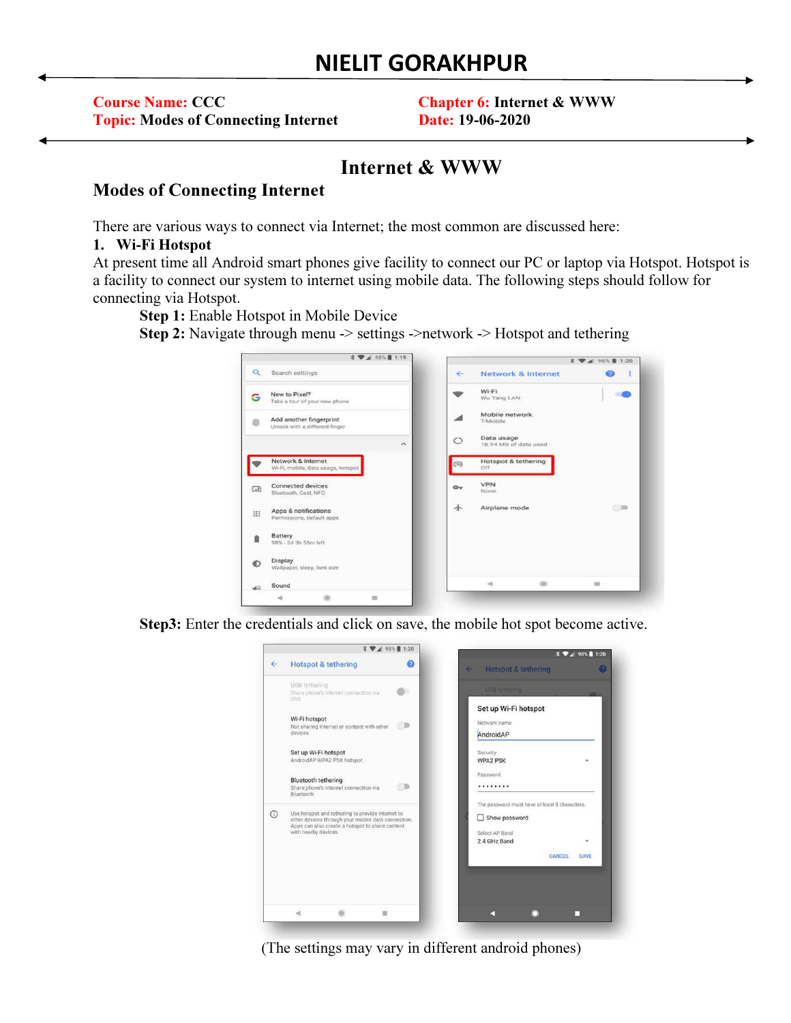| <b>Course Name: CCC</b>                    | <b>Chapter 6: Internet &amp; WWW</b> |
|--------------------------------------------|--------------------------------------|
| <b>Topic: Modes of Connecting Internet</b> | <b>Date: 19-06-2020</b>              |

# Internet & WWW

# Modes of Connecting Internet

There are various ways to connect via Internet; the most common are discussed here:

#### 1. Wi-Fi Hotspot

At present time all Android smart phones give facility to connect our PC or laptop via Hotspot. Hotspot is a facility to connect our system to internet using mobile data. The following steps should follow for connecting via Hotspot.

Step 1: Enable Hotspot in Mobile Device

Step 2: Navigate through menu -> settings ->network -> Hotspot and tethering



Step3: Enter the credentials and click on save, the mobile hot spot become active.



(The settings may vary in different android phones)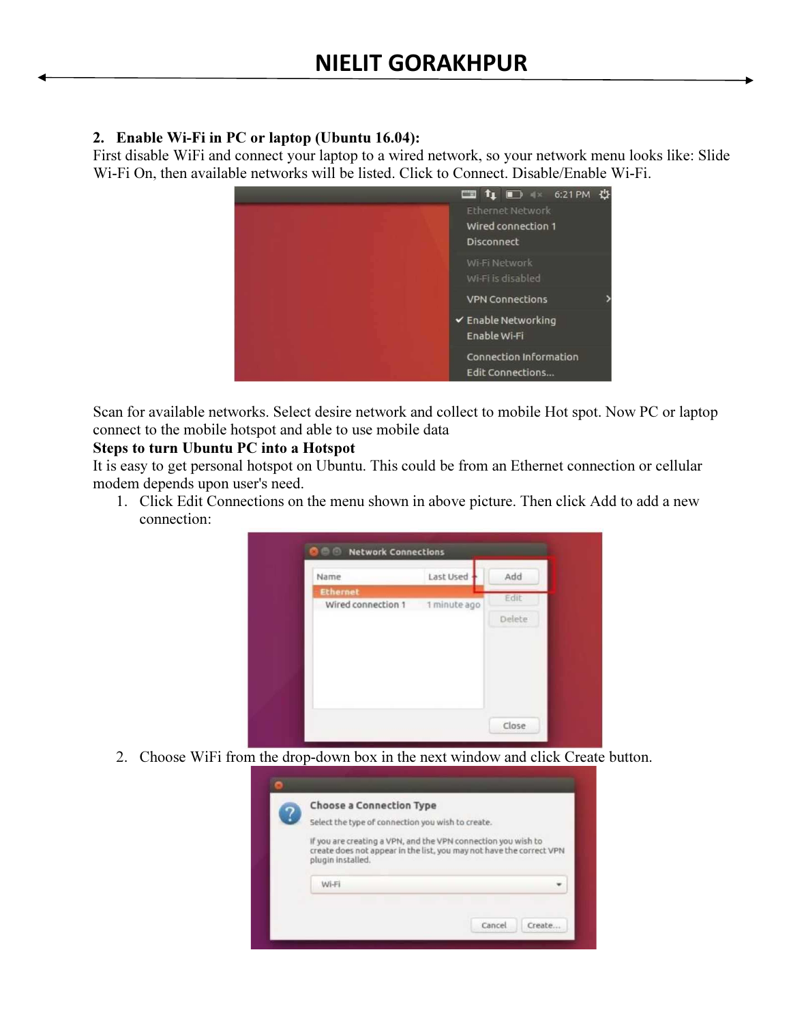## 2. Enable Wi-Fi in PC or laptop (Ubuntu 16.04):

First disable WiFi and connect your laptop to a wired network, so your network menu looks like: Slide Wi-Fi On, then available networks will be listed. Click to Connect. Disable/Enable Wi-Fi.



Scan for available networks. Select desire network and collect to mobile Hot spot. Now PC or laptop connect to the mobile hotspot and able to use mobile data

## Steps to turn Ubuntu PC into a Hotspot

It is easy to get personal hotspot on Ubuntu. This could be from an Ethernet connection or cellular modem depends upon user's need.

1. Click Edit Connections on the menu shown in above picture. Then click Add to add a new connection:



2. Choose WiFi from the drop-down box in the next window and click Create button.

| Select the type of connection you wish to create.<br>If you are creating a VPN, and the VPN connection you wish to<br>create does not appear in the list, you may not have the correct VPN<br>plugin installed.<br>Wi-Fi |          | <b>Choose a Connection Type</b> |  |  |
|--------------------------------------------------------------------------------------------------------------------------------------------------------------------------------------------------------------------------|----------|---------------------------------|--|--|
|                                                                                                                                                                                                                          | <u>?</u> |                                 |  |  |
|                                                                                                                                                                                                                          |          |                                 |  |  |
|                                                                                                                                                                                                                          |          |                                 |  |  |
|                                                                                                                                                                                                                          |          |                                 |  |  |